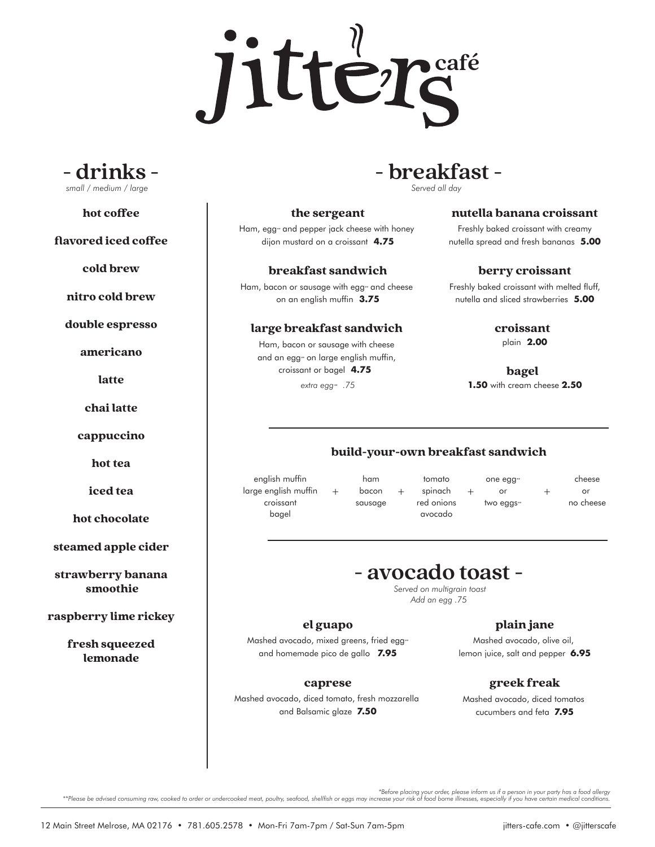



hot coffee

flavored iced coffee

cold brew

nitro cold brew

double espresso

americano

latte

chai latte

cappuccino

hot tea

iced tea

hot chocolate

steamed apple cider

strawberry banana smoothie

raspberry lime rickey

fresh squeezed lemonade

# **- drinks - - breakfast -**

*Served all day*

#### the sergeant

Ham, egg*\*\** and pepper jack cheese with honey dijon mustard on a croissant **4.75**

breakfast sandwich

Ham, bacon or sausage with egg*\*\** and cheese on an english muffin **3.75**

## large breakfast sandwich

Ham, bacon or sausage with cheese and an egg*\*\** on large english muffin, croissant or bagel **4.75** 

*extra egg\*\***.75*

#### nutella banana croissant

Freshly baked croissant with creamy nutella spread and fresh bananas **5.00**

#### berry croissant

Freshly baked croissant with melted fluff, nutella and sliced strawberries **5.00**

croissant

plain **2.00**

bagel

**1.50** with cream cheese **2.50**

# build-your-own breakfast sandwich

english muffin large english muffin croissant bagel

ham bacon sausage

tomato  $+$  bacon  $+$  spinach  $+$  or  $+$ red onions avocado one egg*\*\** or two eggs*\*\**

cheese or no cheese

# **- avocado toast -**

*Served on multigrain toast Add an egg .75* 

### el guapo

Mashed avocado, mixed greens, fried egg*\*\** and homemade pico de gallo **7.95**

## caprese

Mashed avocado, diced tomato, fresh mozzarella and Balsamic glaze **7.50**

# plain jane

Mashed avocado, olive oil, lemon juice, salt and pepper **6.95**

# greek freak

Mashed avocado, diced tomatos cucumbers and feta **7.95**

before placing your order, please inform us if a person in your party has a food allergy\*\*\*<br>.Please be advised consuming raw, cooked to order or undercooked meat, poultry, seafood, shellfish or eggs may increase your risk